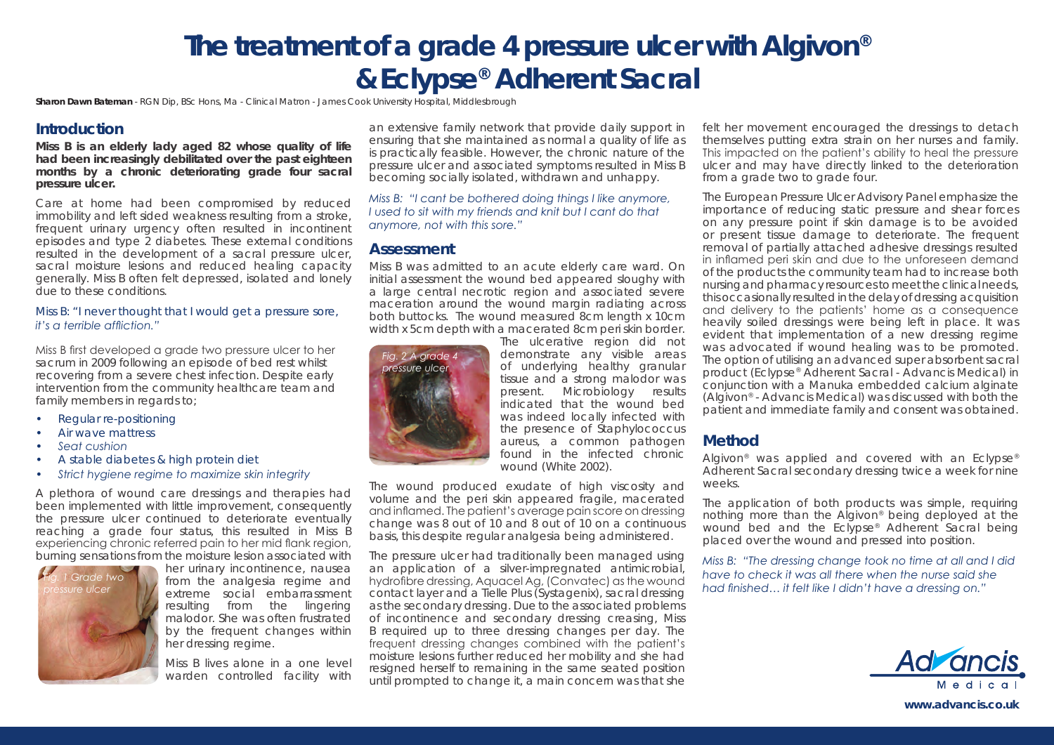# **The treatment of a grade 4 pressure ulcer with Algivon® & Eclypse® Adherent Sacral**

**Sharon Dawn Bateman** - RGN Dip, BSc Hons, Ma - Clinical Matron - James Cook University Hospital, Middlesbrough

## **Introduction**

**Miss B is an elderly lady aged 82 whose quality of life had been increasingly debilitated over the past eighteen months by a chronic deteriorating grade four sacral pressure ulcer.** 

Care at home had been compromised by reduced immobility and left sided weakness resulting from a stroke, frequent urinary urgency often resulted in incontinent episodes and type 2 diabetes. These external conditions resulted in the development of a sacral pressure ulcer, sacral moisture lesions and reduced healing capacity generally. Miss B often felt depressed, isolated and lonely due to these conditions.

#### *Miss B: "I never thought that I would get a pressure sore, it's a terrible affliction."*

Miss B first developed a grade two pressure ulcer to her sacrum in 2009 following an episode of bed rest whilst recovering from a severe chest infection. Despite early intervention from the community healthcare team and family members in regards to:

- *• Regular re-positioning*
- *• Air wave mattress*
- *• Seat cushion*
- *• A stable diabetes & high protein diet*
- *• Strict hygiene regime to maximize skin integrity*

A plethora of wound care dressings and therapies had been implemented with little improvement, consequently the pressure ulcer continued to deteriorate eventually reaching a grade four status, this resulted in Miss B experiencing chronic referred pain to her mid flank region, burning sensations from the moisture lesion associated with



her urinary incontinence, nausea from the analgesia regime and extreme social embarrassment resulting from the lingering malodor. She was often frustrated by the frequent changes within her dressing regime.

Miss B lives alone in a one level warden controlled facility with an extensive family network that provide daily support in ensuring that she maintained as normal a quality of life as is practically feasible. However, the chronic nature of the pressure ulcer and associated symptoms resulted in Miss B becoming socially isolated, withdrawn and unhappy.

#### *Miss B: "I cant be bothered doing things I like anymore, I used to sit with my friends and knit but I cant do that anymore, not with this sore."*

#### **Assessment**

Miss B was admitted to an acute elderly care ward. On initial assessment the wound bed appeared sloughy with a large central necrotic region and associated severe maceration around the wound margin radiating across both buttocks. The wound measured 8cm length x 10cm width x 5cm depth with a macerated 8cm peri skin border.



The ulcerative region did not demonstrate any visible areas of underlying healthy granular tissue and a strong malodor was present. Microbiology results indicated that the wound bed was indeed locally infected with the presence of Staphylococcus aureus, a common pathogen found in the infected chronic wound (White 2002).

The wound produced exudate of high viscosity and volume and the peri skin appeared fragile, macerated and inflamed. The patient's average pain score on dressing change was 8 out of 10 and 8 out of 10 on a continuous basis, this despite regular analgesia being administered.

The pressure ulcer had traditionally been managed using an application of a silver-impregnated antimicrobial, hydrofibre dressing, Aquacel Ag, (Convatec) as the wound contact layer and a Tielle Plus (Systagenix), sacral dressing as the secondary dressing. Due to the associated problems of incontinence and secondary dressing creasing, Miss B required up to three dressing changes per day. The frequent dressing changes combined with the patient's moisture lesions further reduced her mobility and she had resigned herself to remaining in the same seated position until prompted to change it, a main concern was that she

felt her movement encouraged the dressings to detach themselves putting extra strain on her nurses and family. This impacted on the patient's ability to heal the pressure ulcer and may have directly linked to the deterioration from a grade two to grade four.

The European Pressure Ulcer Advisory Panel emphasize the importance of reducing static pressure and shear forces on any pressure point if skin damage is to be avoided or present tissue damage to deteriorate. The frequent removal of partially attached adhesive dressings resulted in inflamed peri skin and due to the unforeseen demand of the products the community team had to increase both nursing and pharmacy resources to meet the clinical needs, this occasionally resulted in the delay of dressing acquisition and delivery to the patients' home as a consequence heavily soiled dressings were being left in place. It was evident that implementation of a new dressing regime was advocated if wound healing was to be promoted. The option of utilising an advanced super absorbent sacral product (Eclypse® Adherent Sacral - Advancis Medical) in conjunction with a Manuka embedded calcium alginate (Algivon® - Advancis Medical) was discussed with both the patient and immediate family and consent was obtained.

## **Method**

Algivon<sup>®</sup> was applied and covered with an Eclypse<sup>®</sup> Adherent Sacral secondary dressing twice a week for nine weeks.

The application of both products was simple, requiring nothing more than the Algivon® being deployed at the wound bed and the Eclypse<sup>®</sup> Adherent Sacral being placed over the wound and pressed into position.

*Miss B: "The dressing change took no time at all and I did have to check it was all there when the nurse said she had finished… it felt like I didn't have a dressing on."*



**www.advancis.co.uk**